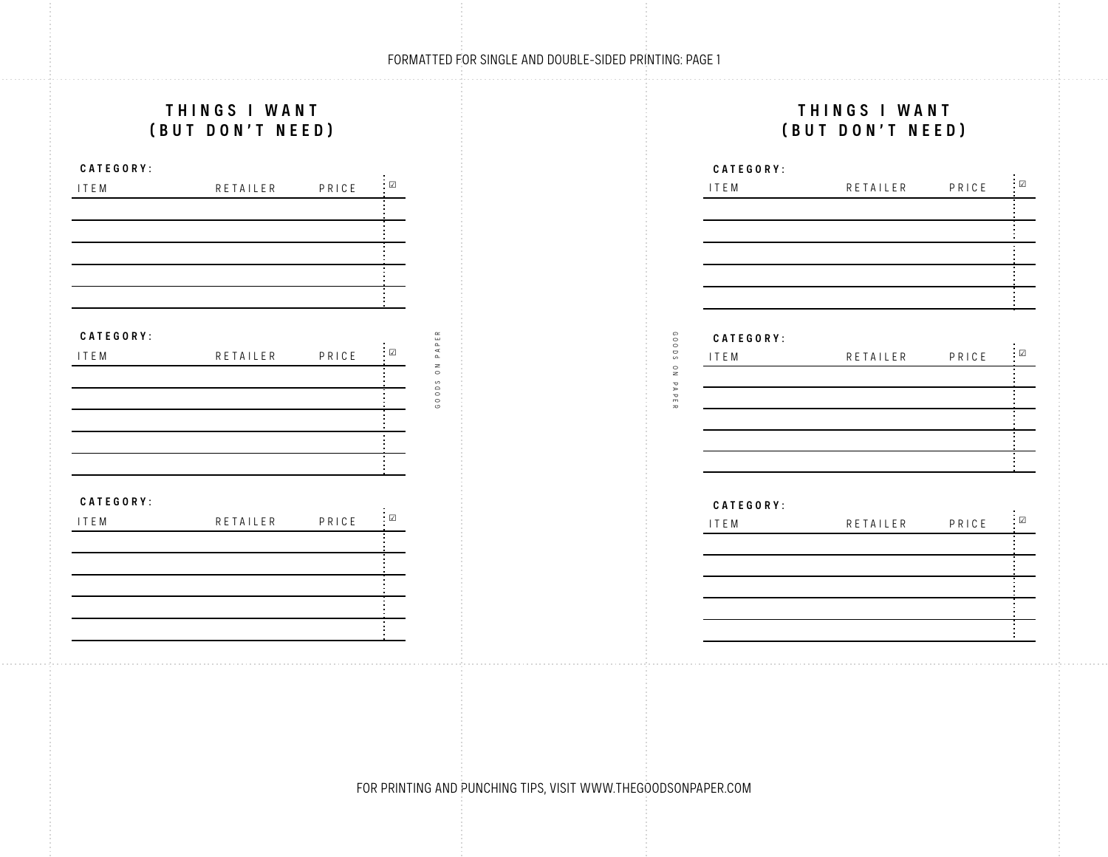## FORMATTED FOR SINGLE AND DOUBLE-SIDED PRINTING: PAGE 1

|             | THINGS I WANT<br>(BUT DON'T NEED) |       |                |               |
|-------------|-----------------------------------|-------|----------------|---------------|
| CATEGORY:   |                                   |       |                |               |
| <b>ITEM</b> | RETAILER                          | PRICE | $\blacksquare$ |               |
|             |                                   |       |                |               |
|             |                                   |       |                |               |
|             |                                   |       |                |               |
|             |                                   |       |                |               |
|             |                                   |       |                |               |
| CATEGORY:   |                                   |       |                | $\simeq$      |
| ITEM        | RETAILER                          | PRICE | . $\Box$       | PAPE          |
|             |                                   |       |                | $\frac{8}{3}$ |
|             |                                   |       |                | G 0 0 D S     |
|             |                                   |       |                |               |
|             |                                   |       |                |               |
|             |                                   |       |                |               |
| CATEGORY:   |                                   |       |                |               |
| <b>ITEM</b> | RETAILER                          | PRICE | $\Box$         |               |
|             |                                   |       |                |               |
|             |                                   |       |                |               |
|             |                                   |       |                |               |
|             |                                   |       |                |               |
|             |                                   |       |                |               |

FOR PRINTING AND PUNCHING TIPS, VISIT WWW.THEGOODSONPAPER.COM